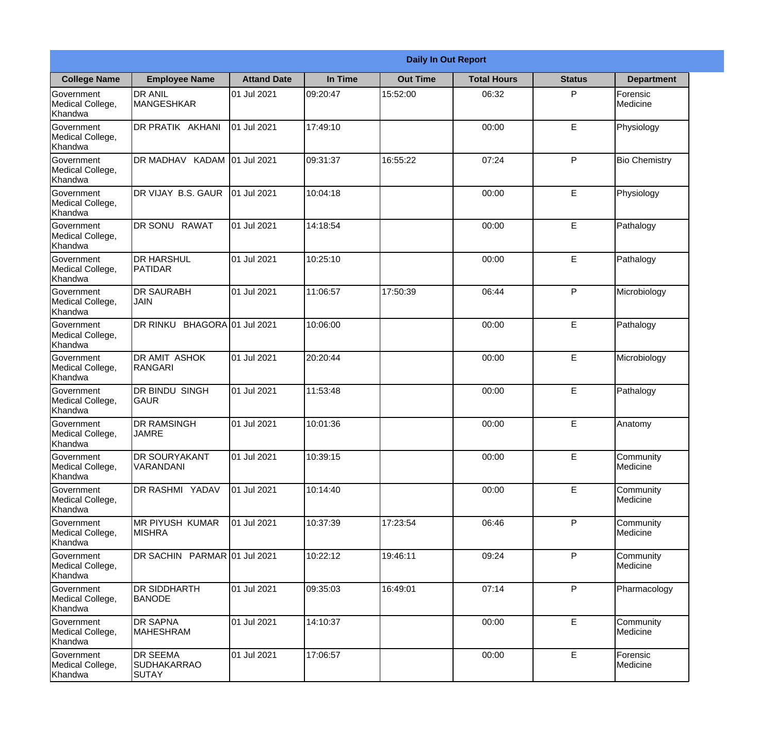|                                                  | <b>Daily In Out Report</b>                     |                    |          |                 |                    |               |                       |  |
|--------------------------------------------------|------------------------------------------------|--------------------|----------|-----------------|--------------------|---------------|-----------------------|--|
| <b>College Name</b>                              | <b>Employee Name</b>                           | <b>Attand Date</b> | In Time  | <b>Out Time</b> | <b>Total Hours</b> | <b>Status</b> | <b>Department</b>     |  |
| Government<br>Medical College,<br>Khandwa        | <b>DR ANIL</b><br><b>MANGESHKAR</b>            | 01 Jul 2021        | 09:20:47 | 15:52:00        | 06:32              | P             | Forensic<br>Medicine  |  |
| Government<br>Medical College,<br>Khandwa        | DR PRATIK AKHANI                               | 01 Jul 2021        | 17:49:10 |                 | 00:00              | E             | Physiology            |  |
| <b>Government</b><br>Medical College,<br>Khandwa | DR MADHAV KADAM                                | 01 Jul 2021        | 09:31:37 | 16:55:22        | 07:24              | P             | <b>Bio Chemistry</b>  |  |
| Government<br>Medical College,<br>Khandwa        | DR VIJAY B.S. GAUR                             | 01 Jul 2021        | 10:04:18 |                 | 00:00              | E             | Physiology            |  |
| Government<br>Medical College,<br>Khandwa        | <b>DR SONU RAWAT</b>                           | 01 Jul 2021        | 14:18:54 |                 | 00:00              | E             | Pathalogy             |  |
| Government<br>Medical College,<br>Khandwa        | <b>DR HARSHUL</b><br>PATIDAR                   | 01 Jul 2021        | 10:25:10 |                 | 00:00              | E             | Pathalogy             |  |
| Government<br>Medical College,<br>Khandwa        | <b>DR SAURABH</b><br><b>JAIN</b>               | 01 Jul 2021        | 11:06:57 | 17:50:39        | 06:44              | P             | Microbiology          |  |
| Government<br>Medical College,<br>Khandwa        | DR RINKU BHAGORA 01 Jul 2021                   |                    | 10:06:00 |                 | 00:00              | E             | Pathalogy             |  |
| Government<br>Medical College,<br>Khandwa        | <b>DR AMIT ASHOK</b><br>RANGARI                | 01 Jul 2021        | 20:20:44 |                 | 00:00              | E             | Microbiology          |  |
| Government<br>Medical College,<br>Khandwa        | <b>DR BINDU SINGH</b><br><b>GAUR</b>           | 01 Jul 2021        | 11:53:48 |                 | 00:00              | E             | Pathalogy             |  |
| Government<br>Medical College,<br>Khandwa        | <b>DR RAMSINGH</b><br><b>JAMRE</b>             | 01 Jul 2021        | 10:01:36 |                 | 00:00              | E             | Anatomy               |  |
| Government<br>Medical College,<br>Khandwa        | <b>DR SOURYAKANT</b><br>VARANDANI              | 01 Jul 2021        | 10:39:15 |                 | 00:00              | E             | Community<br>Medicine |  |
| Government<br>Medical College,<br>Khandwa        | DR RASHMI YADAV                                | 01 Jul 2021        | 10:14:40 |                 | 00:00              | E             | Community<br>Medicine |  |
| Government<br>Medical College,<br>Khandwa        | IMR PIYUSH KUMAR<br><b>MISHRA</b>              | 01 Jul 2021        | 10:37:39 | 17:23:54        | 06:46              | P             | Community<br>Medicine |  |
| Government<br>Medical College,<br>Khandwa        | DR SACHIN PARMAR 01 Jul 2021                   |                    | 10:22:12 | 19:46:11        | 09:24              | $\mathsf{P}$  | Community<br>Medicine |  |
| Government<br>Medical College,<br>Khandwa        | <b>DR SIDDHARTH</b><br><b>BANODE</b>           | 01 Jul 2021        | 09:35:03 | 16:49:01        | 07:14              | P             | Pharmacology          |  |
| Government<br>Medical College,<br>Khandwa        | <b>DR SAPNA</b><br>MAHESHRAM                   | 01 Jul 2021        | 14:10:37 |                 | 00:00              | E             | Community<br>Medicine |  |
| Government<br>Medical College,<br>Khandwa        | <b>DR SEEMA</b><br>SUDHAKARRAO<br><b>SUTAY</b> | 01 Jul 2021        | 17:06:57 |                 | 00:00              | E             | Forensic<br>Medicine  |  |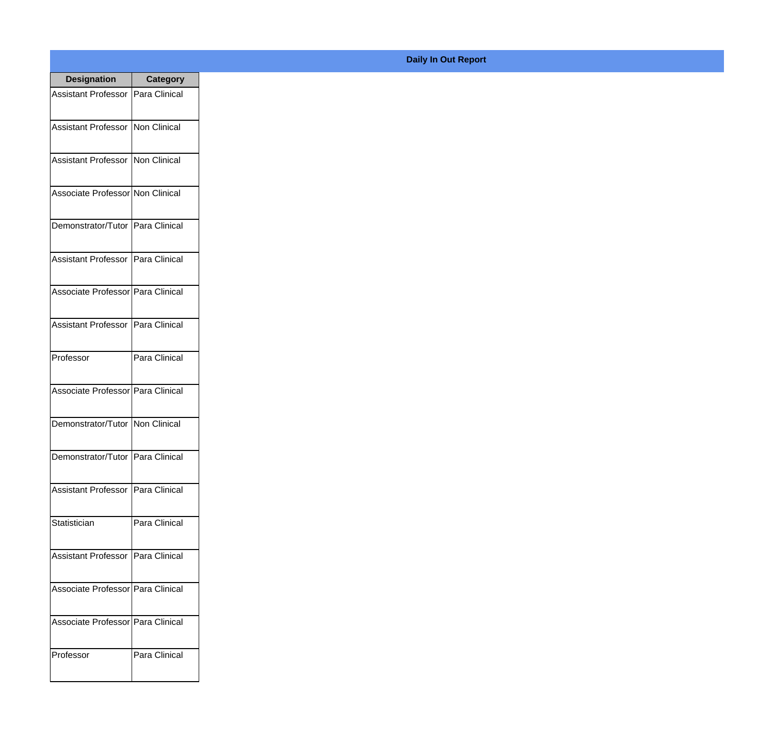| <b>Designation</b>                  | <b>Category</b> |
|-------------------------------------|-----------------|
| Assistant Professor   Para Clinical |                 |
| Assistant Professor   Non Clinical  |                 |
| Assistant Professor   Non Clinical  |                 |
| Associate Professor Non Clinical    |                 |
| Demonstrator/Tutor   Para Clinical  |                 |
| Assistant Professor   Para Clinical |                 |
| Associate Professor   Para Clinical |                 |
| Assistant Professor   Para Clinical |                 |
| Professor                           | Para Clinical   |
| Associate Professor Para Clinical   |                 |
| Demonstrator/Tutor   Non Clinical   |                 |
| Demonstrator/Tutor   Para Clinical  |                 |
| Assistant Professor   Para Clinical |                 |
| Statistician                        | Para Clinical   |
| Assistant Professor   Para Clinical |                 |
| Associate Professor   Para Clinical |                 |
| Associate Professor   Para Clinical |                 |
| Professor                           | Para Clinical   |

## **Daily In Out Report**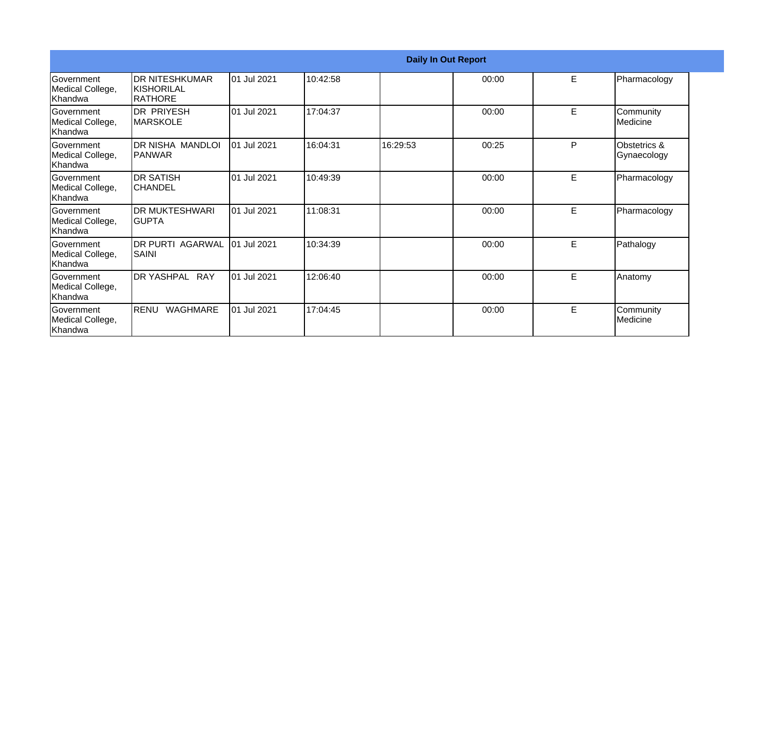|                                                   | <b>Daily In Out Report</b>                       |             |          |          |       |   |                                |  |
|---------------------------------------------------|--------------------------------------------------|-------------|----------|----------|-------|---|--------------------------------|--|
| <b>Government</b><br>Medical College,<br>lKhandwa | <b>IDR NITESHKUMAR</b><br>IKISHORILAL<br>RATHORE | 01 Jul 2021 | 10:42:58 |          | 00:00 | E | Pharmacology                   |  |
| Government<br>Medical College,<br>Khandwa         | <b>DR PRIYESH</b><br><b>MARSKOLE</b>             | 01 Jul 2021 | 17:04:37 |          | 00:00 | E | Community<br><b>I</b> Medicine |  |
| Government<br>Medical College,<br>Khandwa         | <b>DR NISHA MANDLOI</b><br>IPANWAR               | 01 Jul 2021 | 16:04:31 | 16:29:53 | 00:25 | P | Obstetrics &<br>Gynaecology    |  |
| <b>Government</b><br>Medical College,<br>Khandwa  | <b>DR SATISH</b><br><b>CHANDEL</b>               | 01 Jul 2021 | 10:49:39 |          | 00:00 | E | Pharmacology                   |  |
| Government<br>Medical College,<br>Khandwa         | <b>DR MUKTESHWARI</b><br>IGUPTA                  | 01 Jul 2021 | 11:08:31 |          | 00:00 | E | Pharmacology                   |  |
| Government<br>Medical College,<br>Khandwa         | <b>DR PURTI AGARWAL</b><br><b>SAINI</b>          | 01 Jul 2021 | 10:34:39 |          | 00:00 | E | Pathalogy                      |  |
| Government<br>Medical College,<br>Khandwa         | DR YASHPAL RAY                                   | 01 Jul 2021 | 12:06:40 |          | 00:00 | E | Anatomy                        |  |
| Government<br>Medical College,<br>Khandwa         | <b>RENU</b><br><b>WAGHMARE</b>                   | 01 Jul 2021 | 17:04:45 |          | 00:00 | E | Community<br>Medicine          |  |